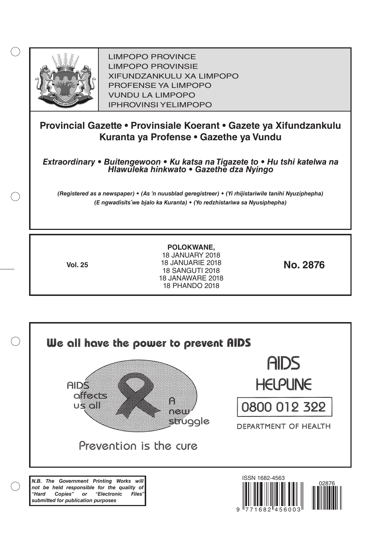

LIMPOPO PROVINCE LIMPOPO PROVINSIE XIFUNDZANKULU XA LIMPOPO PROFENSE YA LIMPOPO VUNDU LA LIMPOPO IPHROVINSI YELIMPOPO

# **Provincial Gazette • Provinsiale Koerant • Gazete ya Xifundzankulu Kuranta ya Profense • Gazethe ya Vundu**

*Extraordinary • Buitengewoon • Ku katsa na Tigazete to • Hu tshi katelwa na Hlawuleka hinkwato • Gazethe dza Nyingo*

*(Registered as a newspaper) • (As 'n nuusblad geregistreer) • (Yi rhijistariwile tanihi Nyuziphepha) (E ngwadisitsˇwe bjalo ka Kuranta) • (Yo redzhistariwa sa Nyusiphepha)*

**POLOKWANE,** 18 JANUARY 2018 18 JANUARIE 2018 18 SANGUTI 2018 18 JANAWARE 2018 18 PHANDO 2018 **Vol. 25 No. 2876**

9 <sup>11</sup>771682 <sup>11</sup>456003

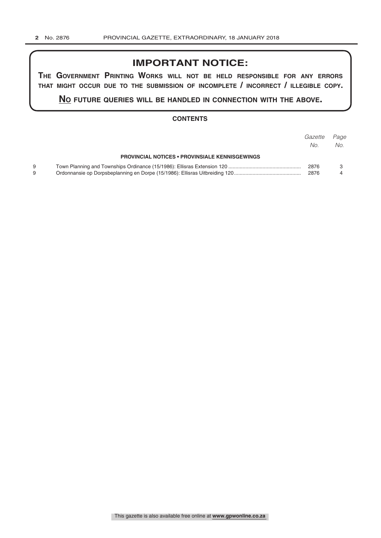# **IMPORTANT NOTICE:**

**The GovernmenT PrinTinG Works Will noT be held resPonsible for any errors ThaT miGhT occur due To The submission of incomPleTe / incorrecT / illeGible coPy.**

**no fuTure queries Will be handled in connecTion WiTh The above.**

# **CONTENTS**

|                                                       | Gazette<br>No. | Page<br>No. |
|-------------------------------------------------------|----------------|-------------|
| <b>PROVINCIAL NOTICES • PROVINSIALE KENNISGEWINGS</b> |                |             |
|                                                       | 2876<br>2876   |             |

This gazette is also available free online at **www.gpwonline.co.za**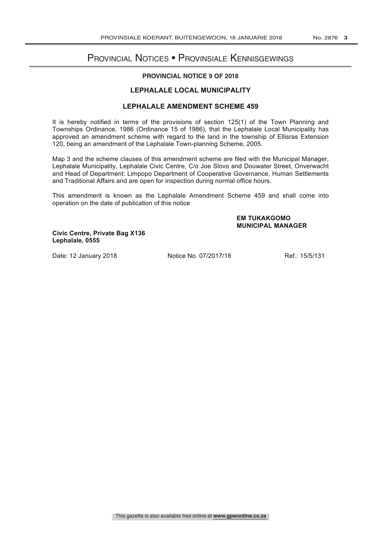# Provincial Notices • Provinsiale Kennisgewings

# **PROVINCIAL NOTICE 9 OF 2018**

# **LEPHALALE LOCAL MUNICIPALITY**

## **LEPHALALE AMENDMENT SCHEME 459**

It is hereby notified in terms of the provisions of section 125(1) of the Town Planning and Townships Ordinance, 1986 (Ordinance 15 of 1986), that the Lephalale Local Municipality has approved an amendment scheme with regard to the land in the township of Ellisras Extension 120, being an amendment of the Lephalale Town-planning Scheme, 2005.

Map 3 and the scheme clauses of this amendment scheme are filed with the Municipal Manager, Lephalale Municipality, Lephalale Civic Centre, C/o Joe Slovo and Douwater Street, Onverwacht and Head of Department: Limpopo Department of Cooperative Governance, Human Settlements and Traditional Affairs and are open for inspection during normal office hours.

This amendment is known as the Lephalale Amendment Scheme 459 and shall come into operation on the date of publication of this notice

> **EM TUKAKGOMO MUNICIPAL MANAGER**

**Civic Centre, Private Bag X136 Lephalale, 0555**

Date: 12 January 2018 **Notice No. 07/2017/18** Ref.: 15/5/131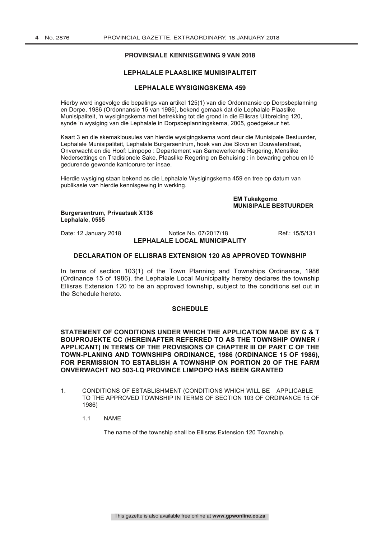#### **PROVINSIALE KENNISGEWING 9 VAN 2018**

#### **LEPHALALE PLAASLIKE MUNISIPALITEIT**

#### **LEPHALALE WYSIGINGSKEMA 459**

Hierby word ingevolge die bepalings van artikel 125(1) van die Ordonnansie op Dorpsbeplanning en Dorpe, 1986 (Ordonnansie 15 van 1986), bekend gemaak dat die Lephalale Plaaslike Munisipaliteit, 'n wysigingskema met betrekking tot die grond in die Ellisras Uitbreiding 120, synde 'n wysiging van die Lephalale in Dorpsbeplanningskema, 2005, goedgekeur het.

Kaart 3 en die skemaklousules van hierdie wysigingskema word deur die Munisipale Bestuurder, Lephalale Munisipaliteit, Lephalale Burgersentrum, hoek van Joe Slovo en Douwaterstraat, Onverwacht en die Hoof: Limpopo : Departement van Samewerkende Regering, Menslike Nedersettings en Tradisionele Sake, Plaaslike Regering en Behuising : in bewaring gehou en lê gedurende gewonde kantoorure ter insae.

Hierdie wysiging staan bekend as die Lephalale Wysigingskema 459 en tree op datum van publikasie van hierdie kennisgewing in werking.

> **EM Tukakgomo MUNISIPALE BESTUURDER**

#### **Burgersentrum, Privaatsak X136 Lephalale, 0555**

Date: 12 January 2018 Notice No. 07/2017/18 Ref.: 15/5/131 **LEPHALALE LOCAL MUNICIPALITY**

#### **DECLARATION OF ELLISRAS EXTENSION 120 AS APPROVED TOWNSHIP**

In terms of section 103(1) of the Town Planning and Townships Ordinance, 1986 (Ordinance 15 of 1986), the Lephalale Local Municipality hereby declares the township Ellisras Extension 120 to be an approved township, subject to the conditions set out in the Schedule hereto.

#### **SCHEDULE**

**STATEMENT OF CONDITIONS UNDER WHICH THE APPLICATION MADE BY G & T BOUPROJEKTE CC (HEREINAFTER REFERRED TO AS THE TOWNSHIP OWNER / APPLICANT) IN TERMS OF THE PROVISIONS OF CHAPTER III OF PART C OF THE TOWN-PLANING AND TOWNSHIPS ORDINANCE, 1986 (ORDINANCE 15 OF 1986), FOR PERMISSION TO ESTABLISH A TOWNSHIP ON PORTION 20 OF THE FARM ONVERWACHT NO 503-LQ PROVINCE LIMPOPO HAS BEEN GRANTED**

- 1. CONDITIONS OF ESTABLISHMENT (CONDITIONS WHICH WILL BE APPLICABLE TO THE APPROVED TOWNSHIP IN TERMS OF SECTION 103 OF ORDINANCE 15 OF 1986)
	- 1.1 NAME

The name of the township shall be Ellisras Extension 120 Township.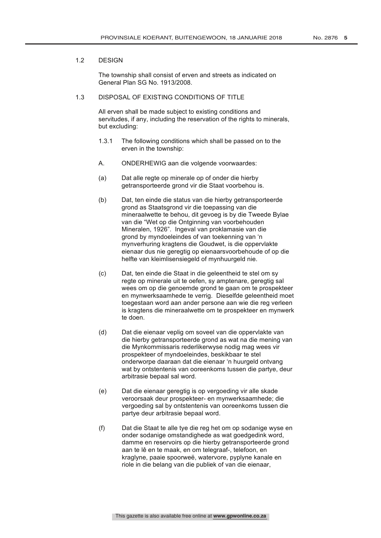# 1.2 DESIGN

The township shall consist of erven and streets as indicated on General Plan SG No. 1913/2008.

#### 1.3 DISPOSAL OF EXISTING CONDITIONS OF TITLE

All erven shall be made subject to existing conditions and servitudes, if any, including the reservation of the rights to minerals, but excluding:

- 1.3.1 The following conditions which shall be passed on to the erven in the township:
- A. ONDERHEWIG aan die volgende voorwaardes:
- (a) Dat alle regte op minerale op of onder die hierby getransporteerde grond vir die Staat voorbehou is.
- (b) Dat, ten einde die status van die hierby getransporteerde grond as Staatsgrond vir die toepassing van die mineraalwette te behou, dit gevoeg is by die Tweede Bylae van die "Wet op die Ontginning van voorbehouden Mineralen, 1926". Ingeval van proklamasie van die grond by myndoeleindes of van toekenning van 'n mynverhuring kragtens die Goudwet, is die oppervlakte eienaar dus nie geregtig op eienaarsvoorbehoude of op die helfte van kleimlisensiegeld of mynhuurgeld nie.
- (c) Dat, ten einde die Staat in die geleentheid te stel om sy regte op minerale uit te oefen, sy amptenare, geregtig sal wees om op die genoemde grond te gaan om te prospekteer en mynwerksaamhede te verrig. Dieselfde geleentheid moet toegestaan word aan ander persone aan wie die reg verleen is kragtens die mineraalwette om te prospekteer en mynwerk te doen.
- (d) Dat die eienaar veplig om soveel van die oppervlakte van die hierby getransporteerde grond as wat na die mening van die Mynkommissaris rederlikerwyse nodig mag wees vir prospekteer of myndoeleindes, beskikbaar te stel onderworpe daaraan dat die eienaar 'n huurgeld ontvang wat by ontstentenis van ooreenkoms tussen die partye, deur arbitrasie bepaal sal word.
- (e) Dat die eienaar geregtig is op vergoeding vir alle skade veroorsaak deur prospekteer- en mynwerksaamhede; die vergoeding sal by ontstentenis van ooreenkoms tussen die partye deur arbitrasie bepaal word.
- (f) Dat die Staat te alle tye die reg het om op sodanige wyse en onder sodanige omstandighede as wat goedgedink word, damme en reservoirs op die hierby getransporteerde grond aan te lê en te maak, en om telegraaf-, telefoon, en kraglyne, paaie spoorweë, watervore, pyplyne kanale en riole in die belang van die publiek of van die eienaar,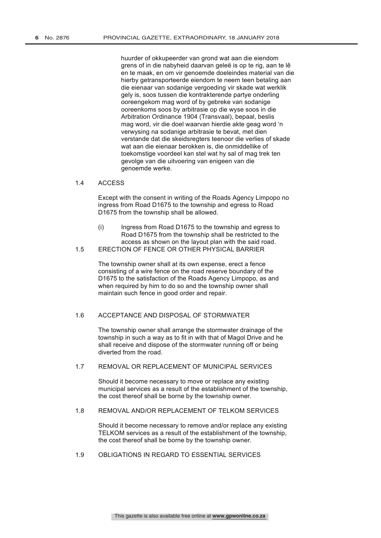huurder of okkupeerder van grond wat aan die eiendom grens of in die nabyheid daarvan geleë is op te rig, aan te lê en te maak, en om vir genoemde doeleindes material van die hierby getransporteerde eiendom te neem teen betaling aan die eienaar van sodanige vergoeding vir skade wat werklik gely is, soos tussen die kontrakterende partye onderling ooreengekom mag word of by gebreke van sodanige ooreenkoms soos by arbitrasie op die wyse soos in die Arbitration Ordinance 1904 (Transvaal), bepaal, beslis mag word, vir die doel waarvan hierdie akte geag word 'n verwysing na sodanige arbitrasie te bevat, met dien verstande dat die skeidsregters teenoor die verlies of skade wat aan die eienaar berokken is, die onmiddellike of toekomstige voordeel kan stel wat hy sal of mag trek ten gevolge van die uitvoering van enigeen van die genoemde werke.

#### 1.4 ACCESS

Except with the consent in writing of the Roads Agency Limpopo no ingress from Road D1675 to the township and egress to Road D1675 from the township shall be allowed.

(i) Ingress from Road D1675 to the township and egress to Road D1675 from the township shall be restricted to the access as shown on the layout plan with the said road.

## 1.5 ERECTION OF FENCE OR OTHER PHYSICAL BARRIER

The township owner shall at its own expense, erect a fence consisting of a wire fence on the road reserve boundary of the D1675 to the satisfaction of the Roads Agency Limpopo, as and when required by him to do so and the township owner shall maintain such fence in good order and repair.

#### 1.6 ACCEPTANCE AND DISPOSAL OF STORMWATER

The township owner shall arrange the stormwater drainage of the township in such a way as to fit in with that of Magol Drive and he shall receive and dispose of the stormwater running off or being diverted from the road.

# 1.7 REMOVAL OR REPLACEMENT OF MUNICIPAL SERVICES

Should it become necessary to move or replace any existing municipal services as a result of the establishment of the township, the cost thereof shall be borne by the township owner.

#### 1.8 REMOVAL AND/OR REPLACEMENT OF TELKOM SERVICES

Should it become necessary to remove and/or replace any existing TELKOM services as a result of the establishment of the township, the cost thereof shall be borne by the township owner.

1.9 OBLIGATIONS IN REGARD TO ESSENTIAL SERVICES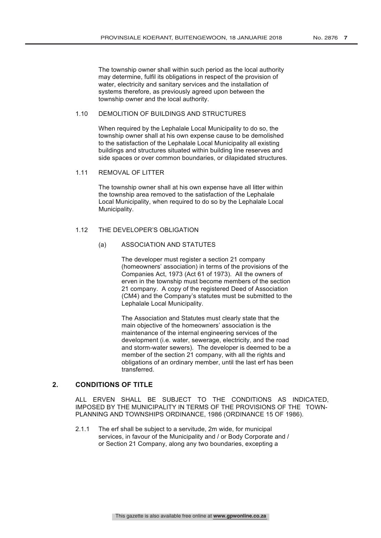The township owner shall within such period as the local authority may determine, fulfil its obligations in respect of the provision of water, electricity and sanitary services and the installation of systems therefore, as previously agreed upon between the township owner and the local authority.

# 1.10 DEMOLITION OF BUILDINGS AND STRUCTURES

When required by the Lephalale Local Municipality to do so, the township owner shall at his own expense cause to be demolished to the satisfaction of the Lephalale Local Municipality all existing buildings and structures situated within building line reserves and side spaces or over common boundaries, or dilapidated structures.

# 1.11 REMOVAL OF LITTER **REMOVAL**

The township owner shall at his own expense have all litter within the township area removed to the satisfaction of the Lephalale Local Municipality, when required to do so by the Lephalale Local Municipality.

### 1.12 THE DEVELOPER'S OBLIGATION

### (a) ASSOCIATION AND STATUTES

The developer must register a section 21 company Companies Act, 1973 (Act 61 of 1973). All the owners of 21 company. A copy of the registered Deed of Association (CM4) and the Company's statutes must be submitted to the Lephalale Local Municipality. (homeowners' association) in terms of the provisions of the erven in the township must become members of the section

> The Association and Statutes must clearly state that the main objective of the homeowners' association is the maintenance of the internal engineering services of the and storm-water sewers). The developer is deemed to be a member of the section 21 company, with all the rights and obligations of an ordinary member, until the last erf has been development (i.e. water, sewerage, electricity, and the road the road the road the road the road the road the road the road the road the road the road the road the road the road the road the road the road the road the road development (i.e. water, sewerage, electricity, and the road

# member of the section 21 company, with all the rights and **2. CONDITIONS OF TITLE**

ALL ERVEN SHALL BE SUBJECT TO THE CONDITIONS AS INDICATED, PLANNING AND TOWNSHIPS ORDINANCE, 1986 (ORDINANCE 15 OF 1986). IMPOSED BY THE MUNICIPALITY IN TERMS OF THE PROVISIONS OF THE TOWN-

2.1.1 The erf shall be subject to a servitude, 2m wide, for municipal services, in favour of the Municipality and / or Body Corporate and / or Section 21 Company, along any two boundaries, excepting a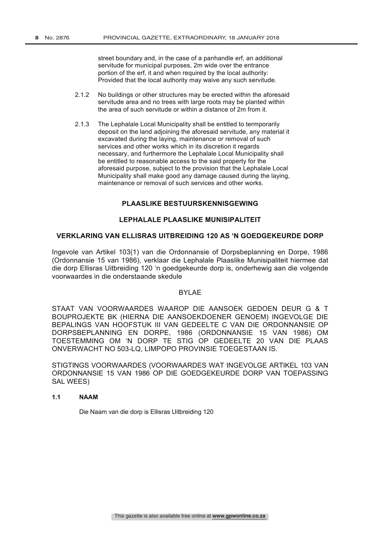street boundary and, in the case of a panhandle erf, an additional servitude for municipal purposes, 2m wide over the entrance portion of the erf, it and when required by the local authority: Provided that the local authority may waive any such servitude. deposit on the land adjoining the aforesaid servitude, any material it

- 2.1.2 No buildings or other structures may be erected within the aforesaid servitude area and no trees with large roots may be planted within the area of such servitude or within a distance of 2m from it.
- 2.1.3 The Lephalale Local Municipality shall be entitled to termporarily deposit on the land adjoining the aforesaid servitude, any material it excavated during the laying, maintenance or removal of such services and other works which in its discretion it regards necessary, and furthermore the Lephalale Local Municipality shall be entitled to reasonable access to the said property for the aforesaid purpose, subject to the provision that the Lephalale Local Municipality shall make good any damage caused during the laying, maintenance or removal of such services and other works.

# **PLAASLIKE BESTUURSKENNISGEWING**

# **LEPHALALE PLAASLIKE MUNISIPALITEIT**

# **VERKLARING VAN ELLISRAS UITBREIDING 120 AS 'N GOEDGEKEURDE DORP**

Ingevole van Artikel 103(1) van die Ordonnansie of Dorpsbeplanning en Dorpe, 1986 die dorp Ellisras Uitbreiding 120 'n goedgekeurde dorp is, onderhewig aan die volgende (Ordonnansie 15 van 1986), verklaar die Lephalale Plaaslike Munisipaliteit hiermee dat voorwaardes in die onderstaande skedule

# BYLAE

STAAT VAN VOORWAARDES WAAROP DIE AANSOEK GEDOEN DEUR G & T BOUPROJEKTE BK (HIERNA DIE AANSOEKDOENER GENOEM) INGEVOLGE DIE BEPALINGS VAN HOOFSTUK III VAN GEDEELTE C VAN DIE ORDONNANSIE OP רוה ר<sup>'</sup> STAAT VAN VOORWAARDES WAAROP DIE AANSOEK GEDOEN DEUR G & T DORPSBEPLANNING EN DORPE, 1986 (ORDONNANSIE 15 VAN 1986) OM TOESTEMMING OM 'N DORP TE STIG OP GEDEELTE 20 VAN DIE PLAAS ONVERWACHT NO 503-LQ, LIMPOPO PROVINSIE TOEGESTAAN IS.

STIGTINGS VOORWAARDES (VOORWAARDES WAT INGEVOLGE ARTIKEL 103 VAN ORDONNANSIE 15 VAN 1986 OP DIE GOEDGEKEURDE DORP VAN TOEPASSING order between the state of the state of the state of the state of the state of the state of the state of the state of the state of the state of the state of the state of the state of the state of the state of the state of TOESTEMMING OM 'N DORP TE STIG OP GEDEELTE 20 VAN DIE PLAAS

#### on 1.1 and 503-LQ, Latin No 503-LQ, Latin No 503-LQ, Latin No 503-LQ, Latin No 503-LQ, Latin No 503-LQ, Latin No 503-LQ, Latin No 503-LQ, Latin No 503-LQ, Latin No 503-LQ, Latin No 503-LQ, Latin No 503-LQ, Latin No 503-LQ, **1.1 NAAM**

Die Naam van die dorp is Ellisras Uitbreiding 120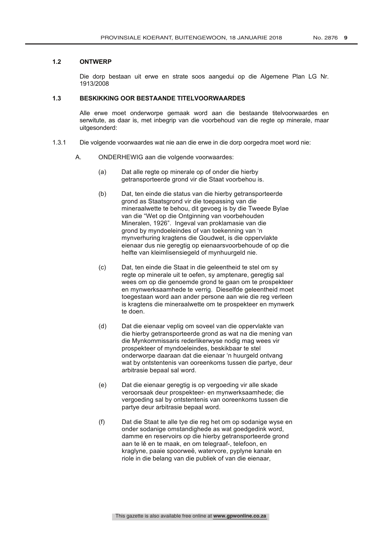# **1.2 ONTWERP**

Die dorp bestaan uit erwe en strate soos aangedui op die Algemene Plan LG Nr. 1913/2008

#### **1.3 BESKIKKING OOR BESTAANDE TITELVOORWAARDES**

Alle erwe moet onderworpe gemaak word aan die bestaande titelvoorwaardes en serwitute, as daar is, met inbegrip van die voorbehoud van die regte op minerale, maar uitgesonderd:

- 1.3.1 Die volgende voorwaardes wat nie aan die erwe in die dorp oorgedra moet word nie:
	- A. ONDERHEWIG aan die volgende voorwaardes:
		- (a) Dat alle regte op minerale op of onder die hierby getransporteerde grond vir die Staat voorbehou is.
		- (b) Dat, ten einde die status van die hierby getransporteerde grond as Staatsgrond vir die toepassing van die mineraalwette te behou, dit gevoeg is by die Tweede Bylae van die "Wet op die Ontginning van voorbehouden Mineralen, 1926". Ingeval van proklamasie van die grond by myndoeleindes of van toekenning van 'n mynverhuring kragtens die Goudwet, is die oppervlakte eienaar dus nie geregtig op eienaarsvoorbehoude of op die helfte van kleimlisensiegeld of mynhuurgeld nie.
		- (c) Dat, ten einde die Staat in die geleentheid te stel om sy regte op minerale uit te oefen, sy amptenare, geregtig sal wees om op die genoemde grond te gaan om te prospekteer en mynwerksaamhede te verrig. Dieselfde geleentheid moet toegestaan word aan ander persone aan wie die reg verleen is kragtens die mineraalwette om te prospekteer en mynwerk te doen.
		- (d) Dat die eienaar veplig om soveel van die oppervlakte van die hierby getransporteerde grond as wat na die mening van die Mynkommissaris rederlikerwyse nodig mag wees vir prospekteer of myndoeleindes, beskikbaar te stel onderworpe daaraan dat die eienaar 'n huurgeld ontvang wat by ontstentenis van ooreenkoms tussen die partye, deur arbitrasie bepaal sal word.
		- (e) Dat die eienaar geregtig is op vergoeding vir alle skade veroorsaak deur prospekteer- en mynwerksaamhede; die vergoeding sal by ontstentenis van ooreenkoms tussen die partye deur arbitrasie bepaal word.
		- (f) Dat die Staat te alle tye die reg het om op sodanige wyse en onder sodanige omstandighede as wat goedgedink word, damme en reservoirs op die hierby getransporteerde grond aan te lê en te maak, en om telegraaf-, telefoon, en kraglyne, paaie spoorweë, watervore, pyplyne kanale en riole in die belang van die publiek of van die eienaar,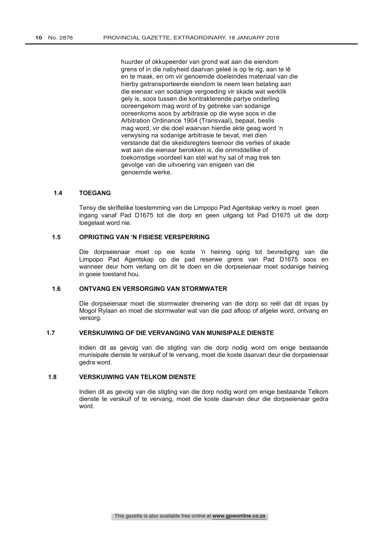huurder of okkupeerder van grond wat aan die eiendom grens of in die nabyheid daarvan geleë is op te rig, aan te lê en te maak, en om vir genoemde doeleindes materiaal van die hierby getransporteerde eiendom te neem teen betaling aan die eienaar van sodanige vergoeding vir skade wat werklik gely is, soos tussen die kontrakterende partye onderling ooreengekom mag word of by gebreke van sodanige ooreenkoms soos by arbitrasie op die wyse soos in die Arbitration Ordinance 1904 (Transvaal), bepaal, beslis mag word, vir die doel waarvan hierdie akte geag word 'n verwysing na sodanige arbitrasie te bevat, met dien verstande dat die skeidsregters teenoor die verlies of skade wat aan die eienaar berokken is, die onmiddellike of toekomstige voordeel kan stel wat hy sal of mag trek ten gevolge van die uitvoering van enigeen van die genoemde werke.

#### **1.4 TOEGANG**

Tensy die skriftelike toestemming van die Limpopo Pad Agentskap verkry is moet geen ingang vanaf Pad D1675 tot die dorp en geen uitgang tot Pad D1675 uit die dorp toegelaat word nie.

#### **1.5 OPRIGTING VAN 'N FISIESE VERSPERRING**

Die dorpseienaar moet op eie koste 'n heining oprig tot bevrediging van die wanneer deur hom verlang om dit te doen en die dorpseienaar moet sodanige heining ingang vanaf Pad D1675 tot die dorp en geen uitgang tot Pad D1675 uit die dorp in goeie toestand hou. Limpopo Pad Agentskap op die pad reserwe grens van Pad D1675 soos en

#### **1.6 ONTVANG EN VERSORGING VAN STORMWATER**

Mogol Rylaan en moet die stormwater wat van die pad afloop of afgelei word, ontvang en<br>versorg. Limpopo Pad Agentskap op die pad reserwe grens van Pad D1675 soos en Die dorpseienaar moet die stormwater dreinering van die dorp so reël dat dit inpas by

#### in goeie toestand hou.  **1.7 VERSKUIWING OF DIE VERVANGING VAN MUNISIPALE DIENSTE**

Indien dit as gevolg van die stigting van die dorp nodig word om enige bestaande dorpseien aar moet die stormwater die stormwater dreinering van die dorp so reël dat die dorp so reël dat dit i munisipale dienste te verskuif of te vervang, moet die koste daarvan deur die dorpseienaar gedra word.

#### versorg. **1.8 VERSKUIWING VAN TELKOM DIENSTE**

Indien dit as gevolg van die stigting van die dorp nodig word om enige bestaande Telkom Indien dit as gevolg van die stigting van die dorp nodig word om enige bestaande om enige bestaande bestaande dienste te verskuif of te vervang, moet die koste daarvan deur die dorpseienaar gedra word.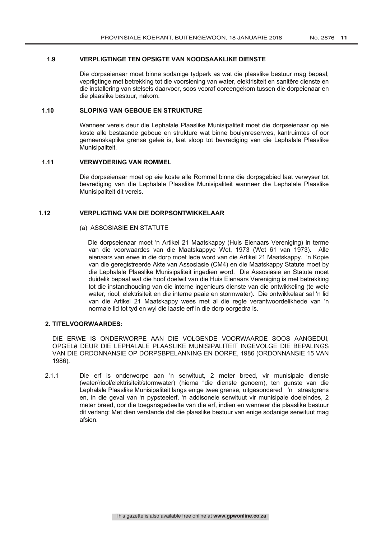# 1.9 **Die installering van Stelse van Noodsaaklike dienste**lsels oor van die dorpeien oor

Die dorpseienaar moet binne sodanige tydperk as wat die plaaslike bestuur mag bepaal, veprligtinge met betrekking tot die voorsiening van water, elektrisiteit en sanitêre dienste en **1.10 SLOPING VAN GEBOUE EN STRUKTURE** die installering van stelsels daarvoor, soos vooraf ooreengekom tussen die dorpeienaar en die plaaslike bestuur, nakom. Wanneer vereis die Lephalale Plaaslike Munisipaliteit moet die dorpseien van die

Die dorpseienaar moet binne sodanige tydperk as wat die plaaslike bestuur mag bepaal,

### **1.10 SLOPING VAN GEBOUE EN STRUKTURE**

Wanneer vereis deur die Lephalale Plaaslike Munisipaliteit moet die dorpseienaar op eie koste alle bestaande geboue en strukture wat binne boulynreserwes, kantruimtes of oor gemeenskaplike grense geleë is, laat sloop tot bevrediging van die Lephalale Plaaslike Munisipaliteit. Die dorpseien aan moet op eie koste alle Rommel binne die dorpsgebied laat verwyser tot door s

# 1.11 **VERWYDERING VAN ROMMEL**

Die dorpseienaar moet op eie koste alle Rommel binne die dorpsgebied laat verwyser tot bevrediging van die Lephalale Plaaslike Munisipaliteit wanneer die Lephalale Plaaslike Munisipaliteit dit vereis.

### **1.12 VERPLIGTING VAN DIE DORPSONTWIKKELAAR**

#### (a) ASSOSIASIE EN STATUTE

Die dorpseienaar moet 'n Artikel 21 Maatskappy (Huis Eienaars Vereniging) in terme eienaars van erwe in die dorp moet lede word van die Artikel 21 Maatskappy. *'*n Kopie die Lephalale Plaaslike Munisipaliteit ingedien word. Die Assosiasie en Statute moet duidelik bepaal wat die hoof doelwit van die Huis Eienaars Vereniging is met betrekking duidelik bepaal wat die hoof doelwit van die Huis Eienaars Vereniging is met betrekking<br>tot die instandhouding van die interne ingenieurs dienste van die ontwikkeling (te wete water, riool, elektrisiteit en die interne paaie en stormwater). Die ontwikkelaar sal 'n lid water, riool, elektrisiteit en die interne paaie en stormwater). Die ontwikkelaar sal 'n lid<br>van die Artikel 21 Maatskappy wees met al die regte verantwoordelikhede van 'n normale lid tot tyd en wyl die laaste erf in die dorp oorgedra is. van die voorwaardes van die Maatskappye Wet, 1973 (Wet 61 van 1973). Alle van die geregistreerde Akte van Assosiasie (CM4) en die Maatskappy Statute moet by

#### water, riool, elektrisiteit en die interne paaie en stormwater). Die ontwikkelaar sal 'n lid **2. TITELVOORWAARDES:**

DIE ERWE IS ONDERWORPE AAN DIE VOLGENDE VOORWAARDE SOOS AANGEDUI, OPGELê DEUR DIE LEPHALALE PLAASLIKE MUNISIPALITEIT INGEVOLGE DIE BEPALINGS VAN DIE ORDONNANSIE OP DORPSBPELANNING EN DORPE, 1986 (ORDONNANSIE 15 VAN 1986).

2.1.1 Die erf is onderworpe aan 'n serwituut, 2 meter breed, vir munisipale dienste (water/riool/elektrisiteit/stormwater) (hierna "die dienste genoem), ten gunste van die meter breed, oor die toegansgedeelte van die erf, indien en wanneer die plaaslike bestuur dit verlang: Met dien verstande dat die plaaslike bestuur van enige sodanige serwituut mag Lephalale Plaaslike Munisipaliteit langs enige twee grense, uitgesondered 'n straatgrens Lephalale Plaaslike Munisipaliteit langs enige twee grense, uitgesondered 'n straatgrens en, in die geval van 'n pypsteelerf, 'n addisonele serwituut vir munisipale doeleindes, 2 afsien.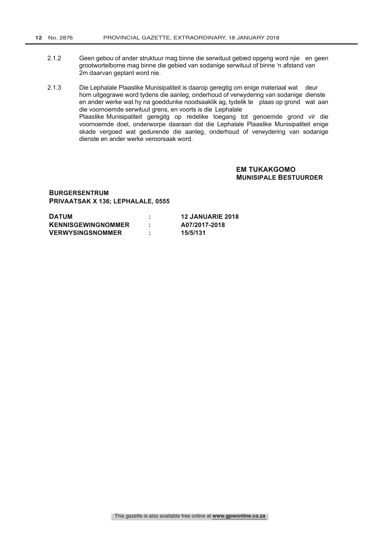- 2.1.2 Geen gebou of ander struktuur mag binne die serwituut gebied opgerig word njie en geen grootwortelbome mag binne die gebied van sodanige serwituut of binne 'n afstand van 2m daarvan geplant word nie.
- 2.1.3 Die Lephalale Plaaslike Munisipaliteit is daarop geregtig om enige materiaal wat deur hom uitgegrawe word tydens die aanleg, onderhoud of verwydering van sodanige dienste en ander werke wat hy na goeddunke noodsaaklik ag, tydelik te plaas op grond wat aan die voornoemde serwituut grens, en voorts is die Lephalale Plaaslike Munisipaliteit geregitg op redelike toegang tot genoemde grond vir die voornoemde doel, onderworpe daaraan dat die Lephalale Plaaslike Munisipaliteit enige skade vergoed wat gedurende die aanleg, onderhoud of verwydering van sodanige dienste en ander werke veroorsaak word.

**EM TUKAKGOMO MUNISIPALE BESTUURDER**

**BURGERSENTRUM PRIVAATSAK X 136; LEPHALALE, 0555**

**DATUM : 12 JANUARIE 2018 KENNISGEWINGNOMMER : A07/2017-2018 VERWYSINGSNOMMER : 15/5/131**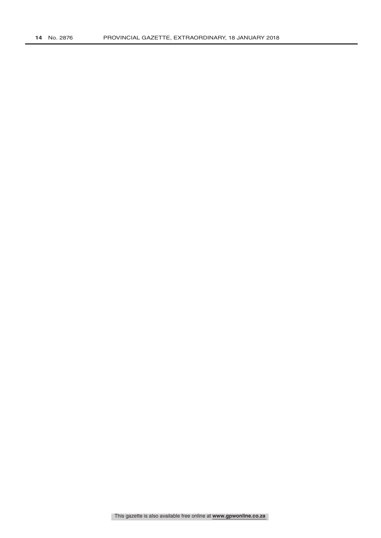This gazette is also available free online at **www.gpwonline.co.za**